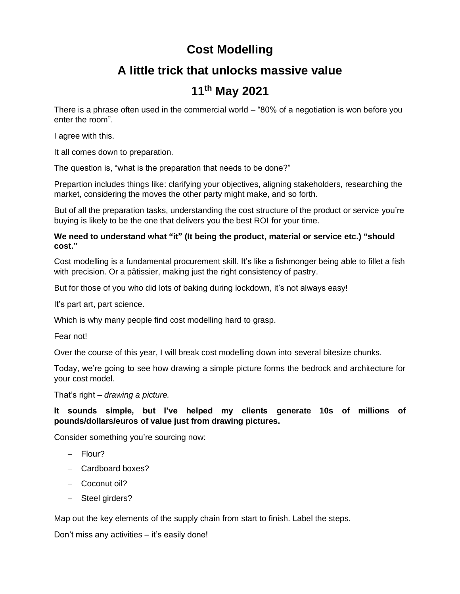## **Cost Modelling**

## **A little trick that unlocks massive value**

## **11th May 2021**

There is a phrase often used in the commercial world – "80% of a negotiation is won before you enter the room".

I agree with this.

It all comes down to preparation.

The question is, "what is the preparation that needs to be done?"

Prepartion includes things like: clarifying your objectives, aligning stakeholders, researching the market, considering the moves the other party might make, and so forth.

But of all the preparation tasks, understanding the cost structure of the product or service you're buying is likely to be the one that delivers you the best ROI for your time.

## **We need to understand what "it" (It being the product, material or service etc.) "should cost."**

Cost modelling is a fundamental procurement skill. It's like a fishmonger being able to fillet a fish with precision. Or a pâtissier, making just the right consistency of pastry.

But for those of you who did lots of baking during lockdown, it's not always easy!

It's part art, part science.

Which is why many people find cost modelling hard to grasp.

Fear not!

Over the course of this year, I will break cost modelling down into several bitesize chunks.

Today, we're going to see how drawing a simple picture forms the bedrock and architecture for your cost model.

That's right – *drawing a picture.*

**It sounds simple, but I've helped my clients generate 10s of millions of pounds/dollars/euros of value just from drawing pictures.**

Consider something you're sourcing now:

- − Flour?
- − Cardboard boxes?
- − Coconut oil?
- − Steel girders?

Map out the key elements of the supply chain from start to finish. Label the steps.

Don't miss any activities – it's easily done!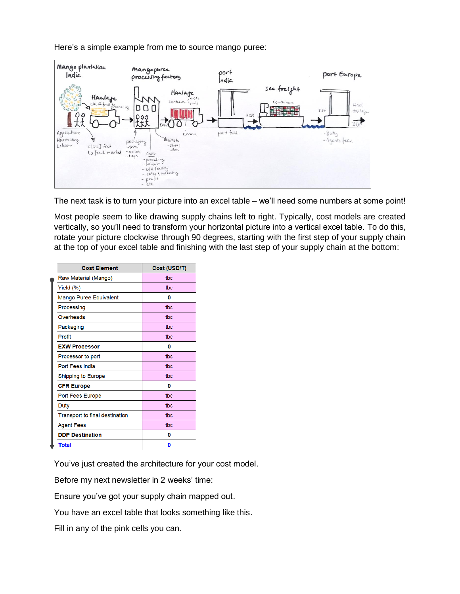Here's a simple example from me to source mango puree:



The next task is to turn your picture into an excel table – we'll need some numbers at some point!

Most people seem to like drawing supply chains left to right. Typically, cost models are created vertically, so you'll need to transform your horizontal picture into a vertical excel table. To do this, rotate your picture clockwise through 90 degrees, starting with the first step of your supply chain at the top of your excel table and finishing with the last step of your supply chain at the bottom:

| <b>Cost Element</b>                   | Cost (USD/T) |
|---------------------------------------|--------------|
| Raw Material (Mango)                  | tbc          |
| Yield (%)                             | tbc          |
| Mango Puree Equivalent                | 0            |
| Processing                            | tbc          |
| Overheads                             | tbc          |
| Packaging                             | tbc          |
| Profit                                | tbc          |
| <b>EXW Processor</b>                  | 0            |
| Processor to port                     | tbc          |
| <b>Port Fees India</b>                | tbc          |
| <b>Shipping to Europe</b>             | tbc          |
| <b>CFR Europe</b>                     | 0            |
| Port Fees Europe                      | tbc          |
| <b>Duty</b>                           | tbc          |
| <b>Transport to final destination</b> | tbc          |
| <b>Agent Fees</b>                     | tbc          |
| <b>DDP Destination</b>                | 0            |
| <b>Total</b>                          | 0            |

You've just created the architecture for your cost model.

Before my next newsletter in 2 weeks' time:

Ensure you've got your supply chain mapped out.

You have an excel table that looks something like this.

Fill in any of the pink cells you can.